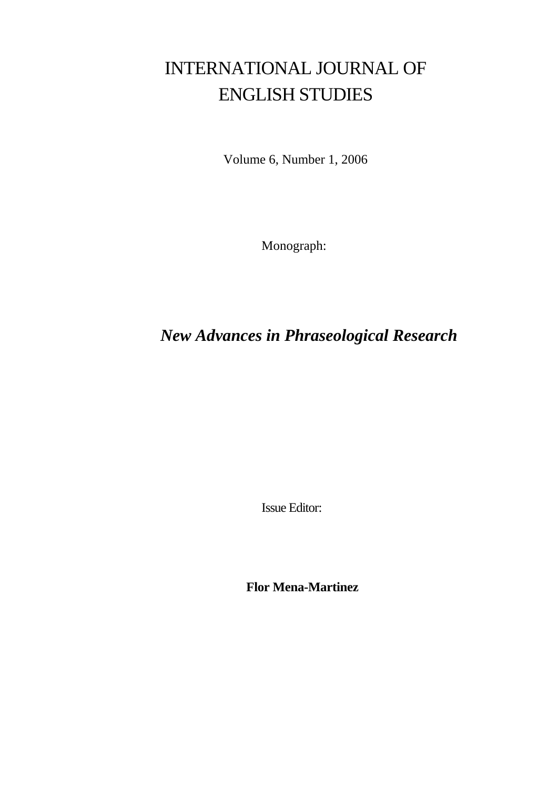# INTERNATIONAL JOURNAL OF ENGLISH STUDIES

Volume 6, Number 1, 2006

Monograph:

## *New Advances in Phraseological Research*

Issue Editor:

**Flor Mena-Martinez**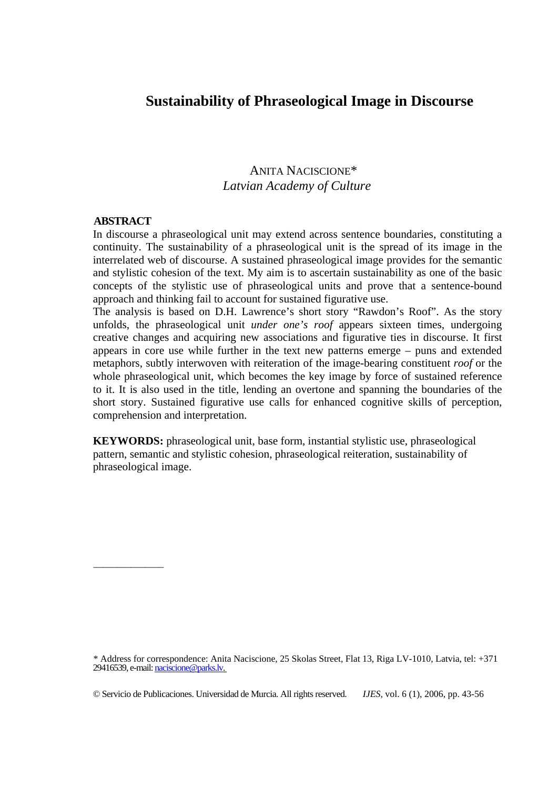## **Sustainability of Phraseological Image in Discourse**

## ANITA NACISCIONE\*  *Latvian Academy of Culture*

#### **ABSTRACT**

\_\_\_\_\_\_\_\_\_\_\_\_\_\_\_

In discourse a phraseological unit may extend across sentence boundaries, constituting a continuity. The sustainability of a phraseological unit is the spread of its image in the interrelated web of discourse. A sustained phraseological image provides for the semantic and stylistic cohesion of the text. My aim is to ascertain sustainability as one of the basic concepts of the stylistic use of phraseological units and prove that a sentence-bound approach and thinking fail to account for sustained figurative use.

The analysis is based on D.H. Lawrence's short story "Rawdon's Roof". As the story unfolds, the phraseological unit *under one's roof* appears sixteen times, undergoing creative changes and acquiring new associations and figurative ties in discourse. It first appears in core use while further in the text new patterns emerge – puns and extended metaphors, subtly interwoven with reiteration of the image-bearing constituent *roof* or the whole phraseological unit, which becomes the key image by force of sustained reference to it. It is also used in the title, lending an overtone and spanning the boundaries of the short story. Sustained figurative use calls for enhanced cognitive skills of perception, comprehension and interpretation.

**KEYWORDS:** phraseological unit, base form, instantial stylistic use, phraseological pattern, semantic and stylistic cohesion, phraseological reiteration, sustainability of phraseological image.

\* Address for correspondence: Anita Naciscione, 25 Skolas Street, Flat 13, Riga LV-1010, Latvia, tel: +371 29416539, e-mail: naciscione@parks.lv.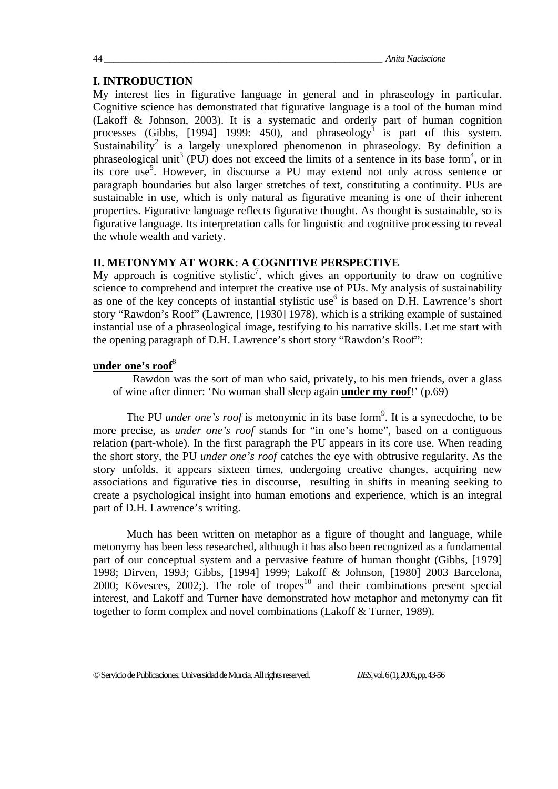#### **I. INTRODUCTION**

My interest lies in figurative language in general and in phraseology in particular. Cognitive science has demonstrated that figurative language is a tool of the human mind (Lakoff & Johnson, 2003). It is a systematic and orderly part of human cognition processes (Gibbs, [1994] 1999: 450), and phraseology<sup>1</sup> is part of this system. Sustainability<sup>2</sup> is a largely unexplored phenomenon in phraseology. By definition a phraseological unit<sup>3</sup> (PU) does not exceed the limits of a sentence in its base form<sup>4</sup>, or in its core use<sup>5</sup>. However, in discourse a PU may extend not only across sentence or paragraph boundaries but also larger stretches of text, constituting a continuity. PUs are sustainable in use, which is only natural as figurative meaning is one of their inherent properties. Figurative language reflects figurative thought. As thought is sustainable, so is figurative language. Its interpretation calls for linguistic and cognitive processing to reveal the whole wealth and variety.

#### **II. METONYMY AT WORK: A COGNITIVE PERSPECTIVE**

My approach is cognitive stylistic<sup>7</sup>, which gives an opportunity to draw on cognitive science to comprehend and interpret the creative use of PUs. My analysis of sustainability as one of the key concepts of instantial stylistic use<sup>6</sup> is based on D.H. Lawrence's short story "Rawdon's Roof" (Lawrence, [1930] 1978), which is a striking example of sustained instantial use of a phraseological image, testifying to his narrative skills. Let me start with the opening paragraph of D.H. Lawrence's short story "Rawdon's Roof":

#### **under one's roof**<sup>8</sup>

Rawdon was the sort of man who said, privately, to his men friends, over a glass of wine after dinner: 'No woman shall sleep again **under my roof**!' (p.69)

The PU *under one's roof* is metonymic in its base form<sup>9</sup>. It is a synecdoche, to be more precise, as *under one's roof* stands for "in one's home", based on a contiguous relation (part-whole). In the first paragraph the PU appears in its core use. When reading the short story, the PU *under one's roof* catches the eye with obtrusive regularity. As the story unfolds, it appears sixteen times, undergoing creative changes, acquiring new associations and figurative ties in discourse, resulting in shifts in meaning seeking to create a psychological insight into human emotions and experience, which is an integral part of D.H. Lawrence's writing.

Much has been written on metaphor as a figure of thought and language, while metonymy has been less researched, although it has also been recognized as a fundamental part of our conceptual system and a pervasive feature of human thought (Gibbs, [1979] 1998; Dirven, 1993; Gibbs, [1994] 1999; Lakoff & Johnson, [1980] 2003 Barcelona,  $2000$ ; Kövesces,  $2002$ ;). The role of tropes<sup>10</sup> and their combinations present special interest, and Lakoff and Turner have demonstrated how metaphor and metonymy can fit together to form complex and novel combinations (Lakoff & Turner, 1989).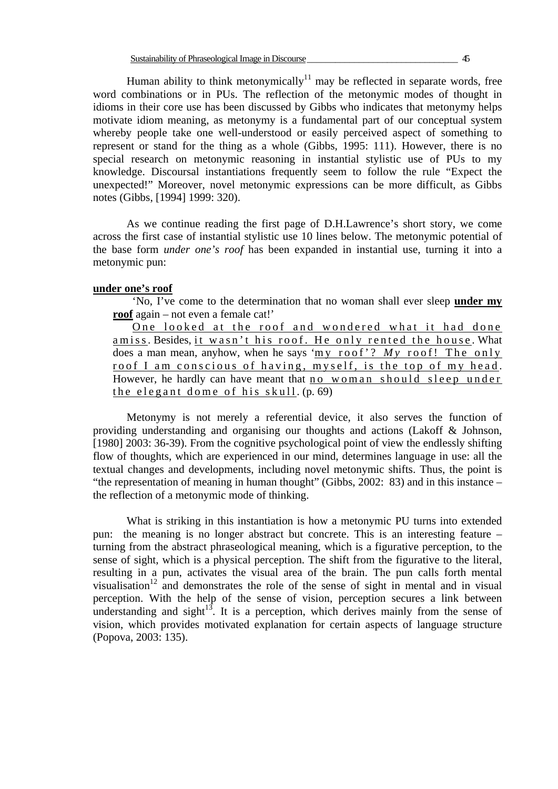Human ability to think metonymically<sup>11</sup> may be reflected in separate words, free word combinations or in PUs. The reflection of the metonymic modes of thought in idioms in their core use has been discussed by Gibbs who indicates that metonymy helps motivate idiom meaning, as metonymy is a fundamental part of our conceptual system whereby people take one well-understood or easily perceived aspect of something to represent or stand for the thing as a whole (Gibbs, 1995: 111). However, there is no special research on metonymic reasoning in instantial stylistic use of PUs to my knowledge. Discoursal instantiations frequently seem to follow the rule "Expect the unexpected!" Moreover, novel metonymic expressions can be more difficult, as Gibbs notes (Gibbs, [1994] 1999: 320).

As we continue reading the first page of D.H.Lawrence's short story, we come across the first case of instantial stylistic use 10 lines below. The metonymic potential of the base form *under one's roof* has been expanded in instantial use, turning it into a metonymic pun:

#### **under one's roof**

'No, I've come to the determination that no woman shall ever sleep **under my roof** again – not even a female cat!'

One looked at the roof and wondered what it had done amiss. Besides, it wasn't his roof. He only rented the house . What does a man mean, anyhow, when he says 'my roof'? *M y* roof! The only roof I am conscious of having, myself, is the top of my head . However, he hardly can have meant that no woman should sleep under the elegant dome of his skull . (p. 69)

Metonymy is not merely a referential device, it also serves the function of providing understanding and organising our thoughts and actions (Lakoff & Johnson, [1980] 2003: 36-39). From the cognitive psychological point of view the endlessly shifting flow of thoughts, which are experienced in our mind, determines language in use: all the textual changes and developments, including novel metonymic shifts. Thus, the point is "the representation of meaning in human thought" (Gibbs, 2002: 83) and in this instance – the reflection of a metonymic mode of thinking.

What is striking in this instantiation is how a metonymic PU turns into extended pun: the meaning is no longer abstract but concrete. This is an interesting feature – turning from the abstract phraseological meaning, which is a figurative perception, to the sense of sight, which is a physical perception. The shift from the figurative to the literal, resulting in a pun, activates the visual area of the brain. The pun calls forth mental visualisation<sup>12</sup> and demonstrates the role of the sense of sight in mental and in visual perception. With the help of the sense of vision, perception secures a link between understanding and sight $13$ . It is a perception, which derives mainly from the sense of vision, which provides motivated explanation for certain aspects of language structure (Popova, 2003: 135).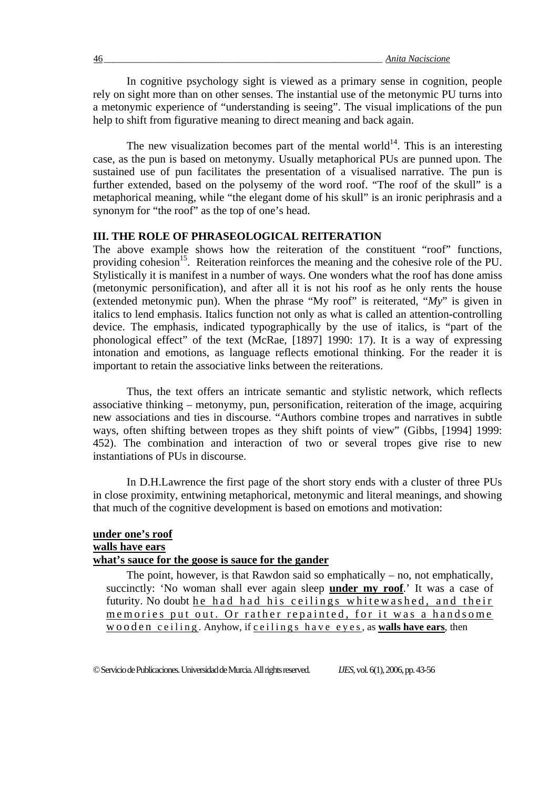In cognitive psychology sight is viewed as a primary sense in cognition, people rely on sight more than on other senses. The instantial use of the metonymic PU turns into a metonymic experience of "understanding is seeing". The visual implications of the pun help to shift from figurative meaning to direct meaning and back again.

The new visualization becomes part of the mental world<sup>14</sup>. This is an interesting case, as the pun is based on metonymy. Usually metaphorical PUs are punned upon. The sustained use of pun facilitates the presentation of a visualised narrative. The pun is further extended, based on the polysemy of the word roof. "The roof of the skull" is a metaphorical meaning, while "the elegant dome of his skull" is an ironic periphrasis and a synonym for "the roof" as the top of one's head.

#### **III. THE ROLE OF PHRASEOLOGICAL REITERATION**

The above example shows how the reiteration of the constituent "roof" functions, providing cohesion<sup>15</sup>. Reiteration reinforces the meaning and the cohesive role of the PU. Stylistically it is manifest in a number of ways. One wonders what the roof has done amiss (metonymic personification), and after all it is not his roof as he only rents the house (extended metonymic pun). When the phrase "My roof" is reiterated, "*My*" is given in italics to lend emphasis. Italics function not only as what is called an attention-controlling device. The emphasis, indicated typographically by the use of italics, is "part of the phonological effect" of the text (McRae, [1897] 1990: 17). It is a way of expressing intonation and emotions, as language reflects emotional thinking. For the reader it is important to retain the associative links between the reiterations.

Thus, the text offers an intricate semantic and stylistic network, which reflects associative thinking – metonymy, pun, personification, reiteration of the image, acquiring new associations and ties in discourse. "Authors combine tropes and narratives in subtle ways, often shifting between tropes as they shift points of view" (Gibbs, [1994] 1999: 452). The combination and interaction of two or several tropes give rise to new instantiations of PUs in discourse.

In D.H.Lawrence the first page of the short story ends with a cluster of three PUs in close proximity, entwining metaphorical, metonymic and literal meanings, and showing that much of the cognitive development is based on emotions and motivation:

#### **under one's roof walls have ears what's sauce for the goose is sauce for the gander**

The point, however, is that Rawdon said so emphatically – no, not emphatically, succinctly: 'No woman shall ever again sleep **under my roof**.' It was a case of futurity. No doubt he had had his ceilings whitewashed, and their memories put out. Or rather repainted, for it was a handsome wooden ceiling . Anyhow, if ceilings have eyes, as **walls have ears**, then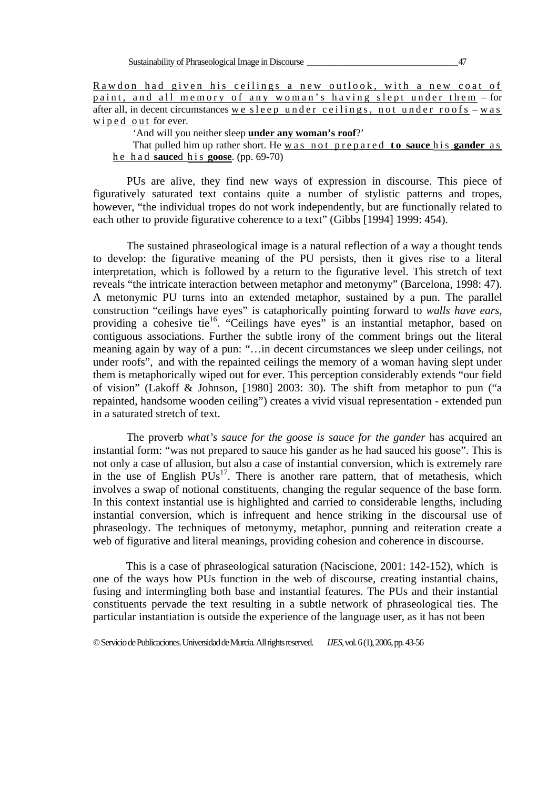'And will you neither sleep **under any woman's roof**?'

#### That pulled him up rather short. He was not prepared to sauce his gander as he had **sauce**d his **goose**. (pp. 69-70)

 PUs are alive, they find new ways of expression in discourse. This piece of figuratively saturated text contains quite a number of stylistic patterns and tropes, however, "the individual tropes do not work independently, but are functionally related to each other to provide figurative coherence to a text" (Gibbs [1994] 1999: 454).

 The sustained phraseological image is a natural reflection of a way a thought tends to develop: the figurative meaning of the PU persists, then it gives rise to a literal interpretation, which is followed by a return to the figurative level. This stretch of text reveals "the intricate interaction between metaphor and metonymy" (Barcelona, 1998: 47). A metonymic PU turns into an extended metaphor, sustained by a pun. The parallel construction "ceilings have eyes" is cataphorically pointing forward to *walls have ears*, providing a cohesive tie<sup>16</sup>. "Ceilings have eyes" is an instantial metaphor, based on contiguous associations. Further the subtle irony of the comment brings out the literal meaning again by way of a pun: "…in decent circumstances we sleep under ceilings, not under roofs", and with the repainted ceilings the memory of a woman having slept under them is metaphorically wiped out for ever. This perception considerably extends "our field of vision" (Lakoff & Johnson, [1980] 2003: 30). The shift from metaphor to pun ("a repainted, handsome wooden ceiling") creates a vivid visual representation - extended pun in a saturated stretch of text.

The proverb *what's sauce for the goose is sauce for the gander* has acquired an instantial form: "was not prepared to sauce his gander as he had sauced his goose". This is not only a case of allusion, but also a case of instantial conversion, which is extremely rare in the use of English  $PUs^{17}$ . There is another rare pattern, that of metathesis, which involves a swap of notional constituents, changing the regular sequence of the base form. In this context instantial use is highlighted and carried to considerable lengths, including instantial conversion, which is infrequent and hence striking in the discoursal use of phraseology. The techniques of metonymy, metaphor, punning and reiteration create a web of figurative and literal meanings, providing cohesion and coherence in discourse.

 This is a case of phraseological saturation (Naciscione, 2001: 142-152), which is one of the ways how PUs function in the web of discourse, creating instantial chains, fusing and intermingling both base and instantial features. The PUs and their instantial constituents pervade the text resulting in a subtle network of phraseological ties. The particular instantiation is outside the experience of the language user, as it has not been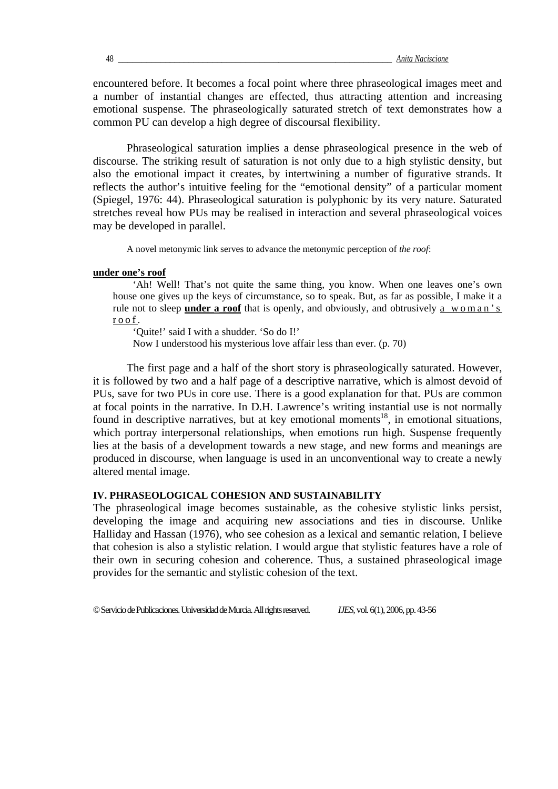encountered before. It becomes a focal point where three phraseological images meet and a number of instantial changes are effected, thus attracting attention and increasing emotional suspense. The phraseologically saturated stretch of text demonstrates how a common PU can develop a high degree of discoursal flexibility.

Phraseological saturation implies a dense phraseological presence in the web of discourse. The striking result of saturation is not only due to a high stylistic density, but also the emotional impact it creates, by intertwining a number of figurative strands. It reflects the author's intuitive feeling for the "emotional density" of a particular moment (Spiegel, 1976: 44). Phraseological saturation is polyphonic by its very nature. Saturated stretches reveal how PUs may be realised in interaction and several phraseological voices may be developed in parallel.

A novel metonymic link serves to advance the metonymic perception of *the roof*:

#### **under one's roof**

'Ah! Well! That's not quite the same thing, you know. When one leaves one's own house one gives up the keys of circumstance, so to speak. But, as far as possible, I make it a rule not to sleep **under a roof** that is openly, and obviously, and obtrusively a woman's roof .

'Quite!' said I with a shudder. 'So do I!'

Now I understood his mysterious love affair less than ever. (p. 70)

The first page and a half of the short story is phraseologically saturated. However, it is followed by two and a half page of a descriptive narrative, which is almost devoid of PUs, save for two PUs in core use. There is a good explanation for that. PUs are common at focal points in the narrative. In D.H. Lawrence's writing instantial use is not normally found in descriptive narratives, but at key emotional moments<sup>18</sup>, in emotional situations, which portray interpersonal relationships, when emotions run high. Suspense frequently lies at the basis of a development towards a new stage, and new forms and meanings are produced in discourse, when language is used in an unconventional way to create a newly altered mental image.

#### **IV. PHRASEOLOGICAL COHESION AND SUSTAINABILITY**

The phraseological image becomes sustainable, as the cohesive stylistic links persist, developing the image and acquiring new associations and ties in discourse. Unlike Halliday and Hassan (1976), who see cohesion as a lexical and semantic relation, I believe that cohesion is also a stylistic relation. I would argue that stylistic features have a role of their own in securing cohesion and coherence. Thus, a sustained phraseological image provides for the semantic and stylistic cohesion of the text.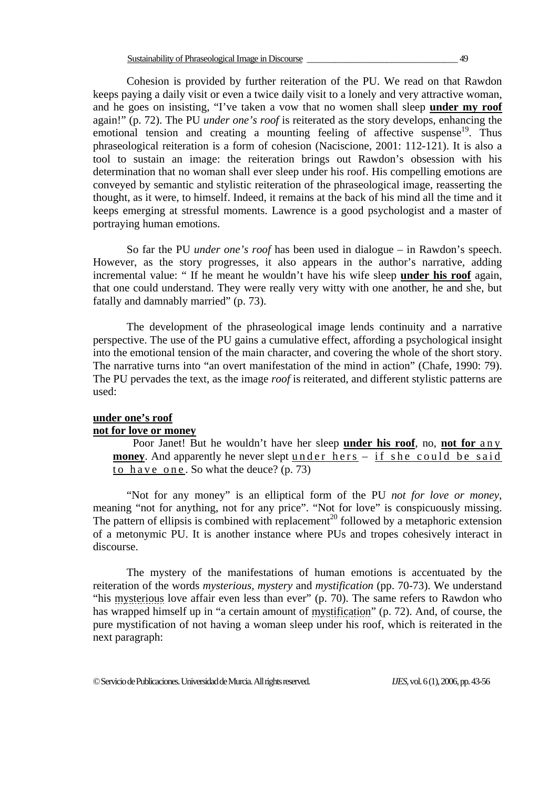Cohesion is provided by further reiteration of the PU. We read on that Rawdon keeps paying a daily visit or even a twice daily visit to a lonely and very attractive woman, and he goes on insisting, "I've taken a vow that no women shall sleep **under my roof** again!" (p. 72). The PU *under one's roof* is reiterated as the story develops, enhancing the emotional tension and creating a mounting feeling of affective suspense<sup>19</sup>. Thus phraseological reiteration is a form of cohesion (Naciscione, 2001: 112-121). It is also a tool to sustain an image: the reiteration brings out Rawdon's obsession with his determination that no woman shall ever sleep under his roof. His compelling emotions are conveyed by semantic and stylistic reiteration of the phraseological image, reasserting the thought, as it were, to himself. Indeed, it remains at the back of his mind all the time and it keeps emerging at stressful moments. Lawrence is a good psychologist and a master of portraying human emotions.

 So far the PU *under one's roof* has been used in dialogue – in Rawdon's speech. However, as the story progresses, it also appears in the author's narrative, adding incremental value: " If he meant he wouldn't have his wife sleep **under his roof** again, that one could understand. They were really very witty with one another, he and she, but fatally and damnably married" (p. 73).

The development of the phraseological image lends continuity and a narrative perspective. The use of the PU gains a cumulative effect, affording a psychological insight into the emotional tension of the main character, and covering the whole of the short story. The narrative turns into "an overt manifestation of the mind in action" (Chafe, 1990: 79). The PU pervades the text, as the image *roof* is reiterated, and different stylistic patterns are used:

#### **under one's roof not for love or money**

Poor Janet! But he wouldn't have her sleep **under his roof**, no, **not for** any **money**. And apparently he never slept under hers  $-$  if she could be said to have one . So what the deuce? (p. 73)

"Not for any money" is an elliptical form of the PU *not for love or money*, meaning "not for anything, not for any price". "Not for love" is conspicuously missing. The pattern of ellipsis is combined with replacement<sup>20</sup> followed by a metaphoric extension of a metonymic PU. It is another instance where PUs and tropes cohesively interact in discourse.

 The mystery of the manifestations of human emotions is accentuated by the reiteration of the words *mysterious, mystery* and *mystification* (pp. 70-73). We understand "his mysterious love affair even less than ever" (p. 70). The same refers to Rawdon who has wrapped himself up in "a certain amount of mystification" (p. 72). And, of course, the pure mystification of not having a woman sleep under his roof, which is reiterated in the next paragraph: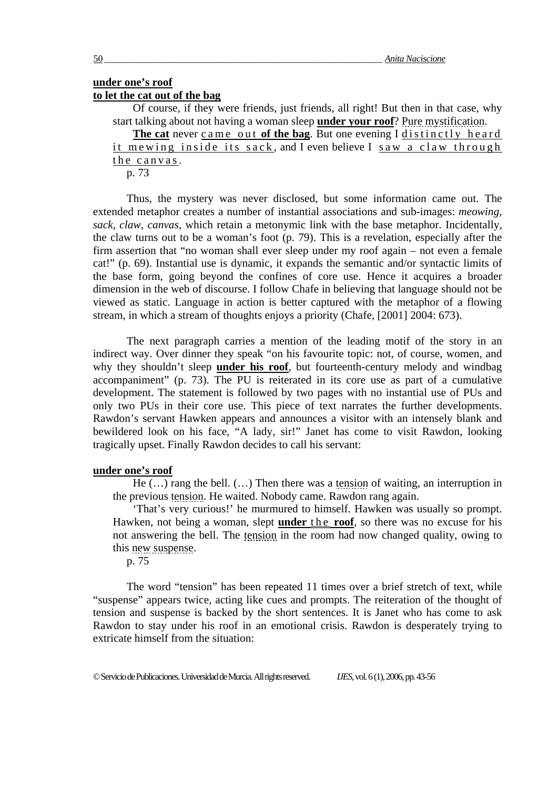#### **under one's roof to let the cat out of the bag**

Of course, if they were friends, just friends, all right! But then in that case, why start talking about not having a woman sleep **under your roof**? Pure mystification.

The cat never came out of the bag. But one evening I distinctly heard it mewing inside its sack, and I even believe I saw a claw through the canvas.

p. 73

Thus, the mystery was never disclosed, but some information came out. The extended metaphor creates a number of instantial associations and sub-images: *meowing, sack, claw, canvas*, which retain a metonymic link with the base metaphor. Incidentally, the claw turns out to be a woman's foot (p. 79). This is a revelation, especially after the firm assertion that "no woman shall ever sleep under my roof again – not even a female cat!" (p. 69). Instantial use is dynamic, it expands the semantic and/or syntactic limits of the base form, going beyond the confines of core use. Hence it acquires a broader dimension in the web of discourse. I follow Chafe in believing that language should not be viewed as static. Language in action is better captured with the metaphor of a flowing stream, in which a stream of thoughts enjoys a priority (Chafe, [2001] 2004: 673).

The next paragraph carries a mention of the leading motif of the story in an indirect way. Over dinner they speak "on his favourite topic: not, of course, women, and why they shouldn't sleep **under his roof**, but fourteenth-century melody and windbag accompaniment" (p. 73). The PU is reiterated in its core use as part of a cumulative development. The statement is followed by two pages with no instantial use of PUs and only two PUs in their core use. This piece of text narrates the further developments. Rawdon's servant Hawken appears and announces a visitor with an intensely blank and bewildered look on his face, "A lady, sir!" Janet has come to visit Rawdon, looking tragically upset. Finally Rawdon decides to call his servant:

#### **under one's roof**

He (…) rang the bell. (…) Then there was a tension of waiting, an interruption in the previous tension. He waited. Nobody came. Rawdon rang again.

'That's very curious!' he murmured to himself. Hawken was usually so prompt. Hawken, not being a woman, slept **under** the **roof**, so there was no excuse for his not answering the bell. The tension in the room had now changed quality, owing to this new suspense.

p. 75

The word "tension" has been repeated 11 times over a brief stretch of text, while "suspense" appears twice, acting like cues and prompts. The reiteration of the thought of tension and suspense is backed by the short sentences. It is Janet who has come to ask Rawdon to stay under his roof in an emotional crisis. Rawdon is desperately trying to extricate himself from the situation: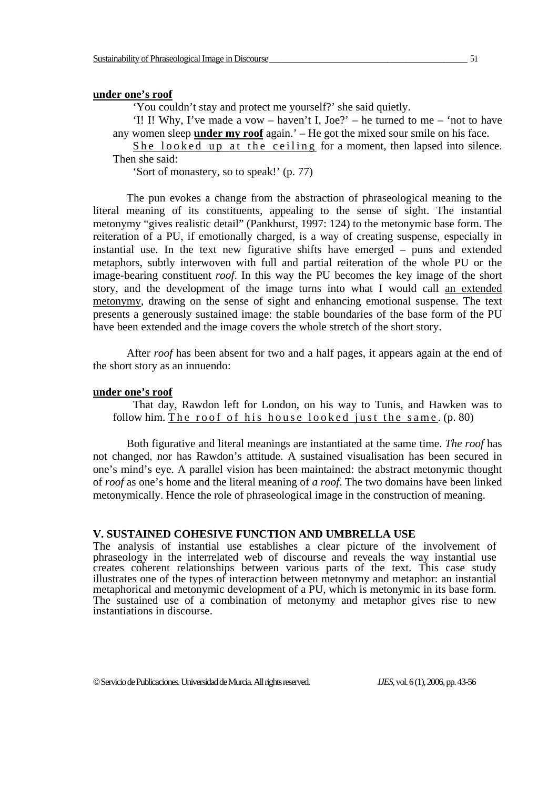#### **under one's roof**

'You couldn't stay and protect me yourself?' she said quietly.

'I! I! Why, I've made a vow – haven't I, Joe?' – he turned to me – 'not to have any women sleep **under my roof** again.' – He got the mixed sour smile on his face.

She looked up at the ceiling for a moment, then lapsed into silence. Then she said:

'Sort of monastery, so to speak!' (p. 77)

The pun evokes a change from the abstraction of phraseological meaning to the literal meaning of its constituents, appealing to the sense of sight. The instantial metonymy "gives realistic detail" (Pankhurst, 1997: 124) to the metonymic base form. The reiteration of a PU, if emotionally charged, is a way of creating suspense, especially in instantial use. In the text new figurative shifts have emerged – puns and extended metaphors, subtly interwoven with full and partial reiteration of the whole PU or the image-bearing constituent *roof*. In this way the PU becomes the key image of the short story, and the development of the image turns into what I would call an extended metonymy, drawing on the sense of sight and enhancing emotional suspense. The text presents a generously sustained image: the stable boundaries of the base form of the PU have been extended and the image covers the whole stretch of the short story.

After *roof* has been absent for two and a half pages, it appears again at the end of the short story as an innuendo:

#### **under one's roof**

That day, Rawdon left for London, on his way to Tunis, and Hawken was to follow him. The roof of his house looked just the same. (p. 80)

Both figurative and literal meanings are instantiated at the same time. *The roof* has not changed, nor has Rawdon's attitude. A sustained visualisation has been secured in one's mind's eye. A parallel vision has been maintained: the abstract metonymic thought of *roof* as one's home and the literal meaning of *a roof*. The two domains have been linked metonymically. Hence the role of phraseological image in the construction of meaning.

#### **V. SUSTAINED COHESIVE FUNCTION AND UMBRELLA USE**

The analysis of instantial use establishes a clear picture of the involvement of phraseology in the interrelated web of discourse and reveals the way instantial use creates coherent relationships between various parts of the text. This case study illustrates one of the types of interaction between metonymy and metaphor: an instantial metaphorical and metonymic development of a PU, which is metonymic in its base form. The sustained use of a combination of metonymy and metaphor gives rise to new instantiations in discourse.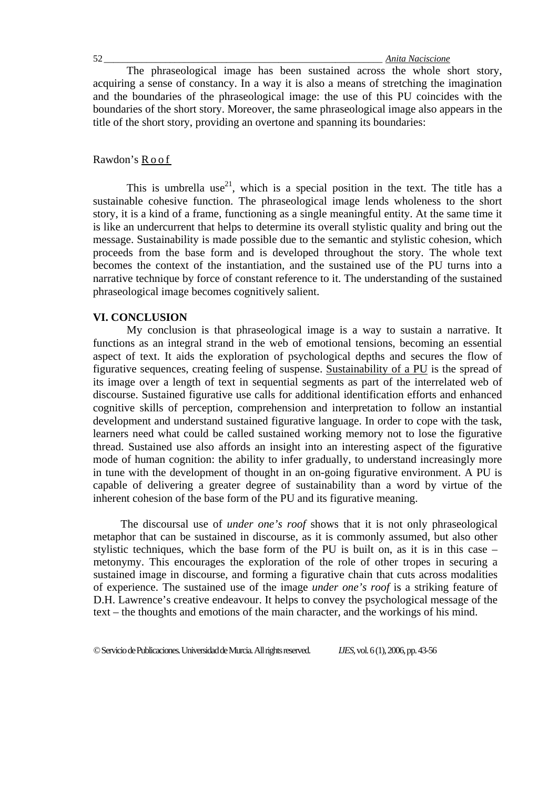The phraseological image has been sustained across the whole short story, acquiring a sense of constancy. In a way it is also a means of stretching the imagination and the boundaries of the phraseological image: the use of this PU coincides with the boundaries of the short story. Moreover, the same phraseological image also appears in the title of the short story, providing an overtone and spanning its boundaries:

#### Rawdon's R o o f

This is umbrella use<sup>21</sup>, which is a special position in the text. The title has a sustainable cohesive function. The phraseological image lends wholeness to the short story, it is a kind of a frame, functioning as a single meaningful entity. At the same time it is like an undercurrent that helps to determine its overall stylistic quality and bring out the message. Sustainability is made possible due to the semantic and stylistic cohesion, which proceeds from the base form and is developed throughout the story. The whole text becomes the context of the instantiation, and the sustained use of the PU turns into a narrative technique by force of constant reference to it. The understanding of the sustained phraseological image becomes cognitively salient.

#### **VI. CONCLUSION**

My conclusion is that phraseological image is a way to sustain a narrative. It functions as an integral strand in the web of emotional tensions, becoming an essential aspect of text. It aids the exploration of psychological depths and secures the flow of figurative sequences, creating feeling of suspense. Sustainability of a PU is the spread of its image over a length of text in sequential segments as part of the interrelated web of discourse. Sustained figurative use calls for additional identification efforts and enhanced cognitive skills of perception, comprehension and interpretation to follow an instantial development and understand sustained figurative language. In order to cope with the task, learners need what could be called sustained working memory not to lose the figurative thread. Sustained use also affords an insight into an interesting aspect of the figurative mode of human cognition: the ability to infer gradually, to understand increasingly more in tune with the development of thought in an on-going figurative environment. A PU is capable of delivering a greater degree of sustainability than a word by virtue of the inherent cohesion of the base form of the PU and its figurative meaning.

The discoursal use of *under one's roof* shows that it is not only phraseological metaphor that can be sustained in discourse, as it is commonly assumed, but also other stylistic techniques, which the base form of the PU is built on, as it is in this case – metonymy. This encourages the exploration of the role of other tropes in securing a sustained image in discourse, and forming a figurative chain that cuts across modalities of experience. The sustained use of the image *under one's roof* is a striking feature of D.H. Lawrence's creative endeavour. It helps to convey the psychological message of the text – the thoughts and emotions of the main character, and the workings of his mind.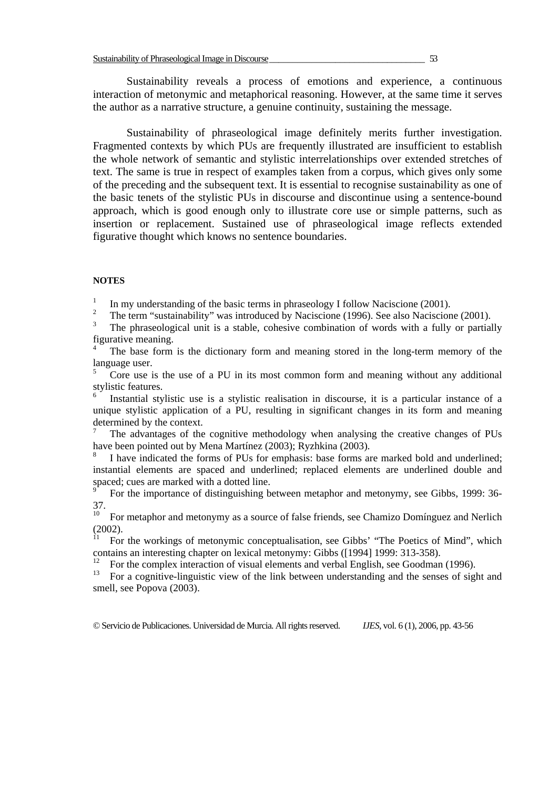Sustainability reveals a process of emotions and experience, a continuous interaction of metonymic and metaphorical reasoning. However, at the same time it serves the author as a narrative structure, a genuine continuity, sustaining the message.

Sustainability of phraseological image definitely merits further investigation. Fragmented contexts by which PUs are frequently illustrated are insufficient to establish the whole network of semantic and stylistic interrelationships over extended stretches of text. The same is true in respect of examples taken from a corpus, which gives only some of the preceding and the subsequent text. It is essential to recognise sustainability as one of the basic tenets of the stylistic PUs in discourse and discontinue using a sentence-bound approach, which is good enough only to illustrate core use or simple patterns, such as insertion or replacement. Sustained use of phraseological image reflects extended figurative thought which knows no sentence boundaries.

#### **NOTES**

<sup>1</sup> In my understanding of the basic terms in phraseology I follow Naciscione (2001).

 $\mathfrak{D}$ The term "sustainability" was introduced by Naciscione (1996). See also Naciscione (2001).

3 The phraseological unit is a stable, cohesive combination of words with a fully or partially figurative meaning.

4 The base form is the dictionary form and meaning stored in the long-term memory of the language user.

5 Core use is the use of a PU in its most common form and meaning without any additional stylistic features.

6 Instantial stylistic use is a stylistic realisation in discourse, it is a particular instance of a unique stylistic application of a PU, resulting in significant changes in its form and meaning determined by the context.

7 The advantages of the cognitive methodology when analysing the creative changes of PUs have been pointed out by Mena Martínez (2003); Ryzhkina (2003).

8 I have indicated the forms of PUs for emphasis: base forms are marked bold and underlined; instantial elements are spaced and underlined; replaced elements are underlined double and spaced; cues are marked with a dotted line.

 For the importance of distinguishing between metaphor and metonymy, see Gibbs, 1999: 36-  $37.10$ 

10 For metaphor and metonymy as a source of false friends, see Chamizo Domínguez and Nerlich  $(2002)$ .

11 For the workings of metonymic conceptualisation, see Gibbs' "The Poetics of Mind", which contains an interesting chapter on lexical metonymy: Gibbs ([1994] 1999: 313-358).

<sup>12</sup> For the complex interaction of visual elements and verbal English, see Goodman (1996).<br><sup>13</sup> For a connitive-linguistic view of the link between understanding and the senses of sigl

13 For a cognitive-linguistic view of the link between understanding and the senses of sight and smell, see Popova (2003).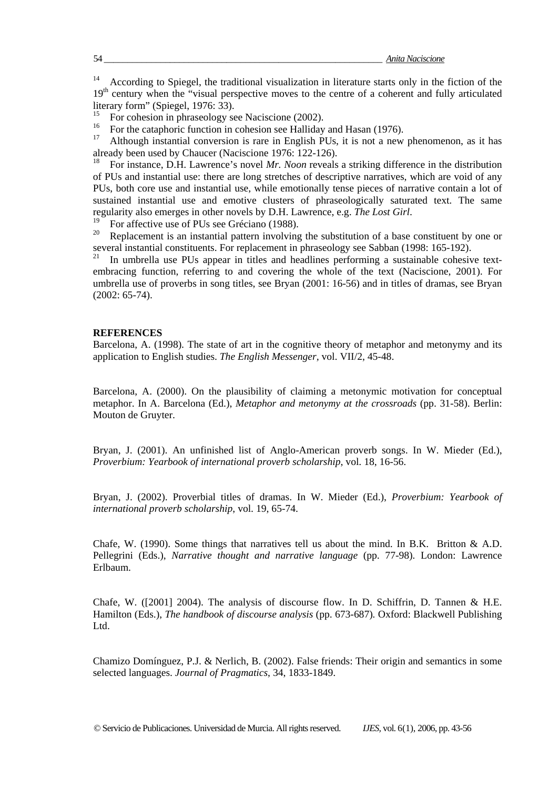<sup>14</sup> According to Spiegel, the traditional visualization in literature starts only in the fiction of the 19<sup>th</sup> century when the "visual perspective moves to the centre of a coherent and fully articulated literary form" (Spiegel, 1976: 33).

<sup>15</sup> For cohesion in phraseology see Naciscione (2002).

<sup>16</sup> For the cataphoric function in cohesion see Halliday and Hasan (1976).

Although instantial conversion is rare in English PUs, it is not a new phenomenon, as it has already been used by Chaucer (Naciscione 1976: 122-126).

18 For instance, D.H. Lawrence's novel *Mr. Noon* reveals a striking difference in the distribution of PUs and instantial use: there are long stretches of descriptive narratives, which are void of any PUs, both core use and instantial use, while emotionally tense pieces of narrative contain a lot of sustained instantial use and emotive clusters of phraseologically saturated text. The same regularity also emerges in other novels by D.H. Lawrence, e.g. *The Lost Girl*.<br><sup>19</sup> For affective use of PUs see Gréciano (1988).<br><sup>20</sup> Bonlassmant is an instantial pattern involving the substitution of a base.

Replacement is an instantial pattern involving the substitution of a base constituent by one or several instantial constituents. For replacement in phraseology see Sabban (1998: 165-192).

In umbrella use PUs appear in titles and headlines performing a sustainable cohesive textembracing function, referring to and covering the whole of the text (Naciscione, 2001). For umbrella use of proverbs in song titles, see Bryan (2001: 16-56) and in titles of dramas, see Bryan (2002: 65-74).

#### **REFERENCES**

Barcelona, A. (1998). The state of art in the cognitive theory of metaphor and metonymy and its application to English studies. *The English Messenger,* vol. VII/2, 45-48.

Barcelona, A. (2000). On the plausibility of claiming a metonymic motivation for conceptual metaphor. In A. Barcelona (Ed.), *Metaphor and metonymy at the crossroads* (pp. 31-58). Berlin: Mouton de Gruyter.

Bryan, J. (2001). An unfinished list of Anglo-American proverb songs. In W. Mieder (Ed.), *Proverbium: Yearbook of international proverb scholarship*, vol. 18, 16-56.

Bryan, J. (2002). Proverbial titles of dramas. In W. Mieder (Ed.), *Proverbium: Yearbook of international proverb scholarship*, vol. 19, 65-74.

Chafe, W. (1990). Some things that narratives tell us about the mind. In B.K. Britton & A.D. Pellegrini (Eds.), *Narrative thought and narrative language* (pp. 77-98)*.* London: Lawrence Erlbaum.

Chafe, W. ([2001] 2004). The analysis of discourse flow. In D. Schiffrin, D. Tannen & H.E. Hamilton (Eds.), *The handbook of discourse analysis* (pp. 673-687)*.* Oxford: Blackwell Publishing Ltd.

Chamizo Domínguez, P.J. & Nerlich, B. (2002). False friends: Their origin and semantics in some selected languages. *Journal of Pragmatics*, 34, 1833-1849.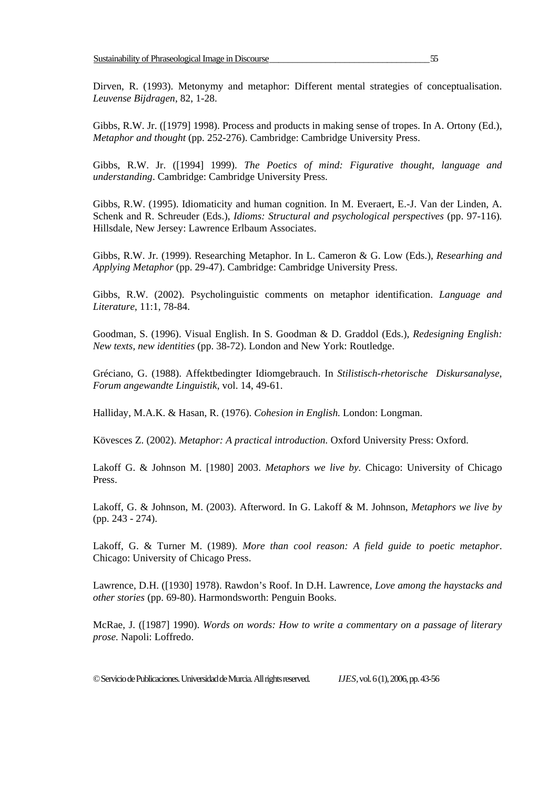Dirven, R. (1993). Metonymy and metaphor: Different mental strategies of conceptualisation. *Leuvense Bijdragen*, 82, 1-28.

Gibbs, R.W. Jr. ([1979] 1998). Process and products in making sense of tropes. In A. Ortony (Ed.), *Metaphor and thought* (pp. 252-276). Cambridge: Cambridge University Press.

Gibbs, R.W. Jr. ([1994] 1999). *The Poetics of mind: Figurative thought, language and understanding*. Cambridge: Cambridge University Press.

Gibbs, R.W. (1995). Idiomaticity and human cognition. In M. Everaert, E.-J. Van der Linden, A. Schenk and R. Schreuder (Eds.), *Idioms: Structural and psychological perspectives* (pp. 97-116). Hillsdale, New Jersey: Lawrence Erlbaum Associates.

Gibbs, R.W. Jr. (1999). Researching Metaphor. In L. Cameron & G. Low (Eds.), *Researhing and Applying Metaphor* (pp. 29-47). Cambridge: Cambridge University Press.

Gibbs, R.W. (2002). Psycholinguistic comments on metaphor identification. *Language and Literature*, 11:1, 78-84.

Goodman, S. (1996). Visual English. In S. Goodman & D. Graddol (Eds.), *Redesigning English: New texts, new identities* (pp. 38-72). London and New York: Routledge.

Gréciano, G. (1988). Affektbedingter Idiomgebrauch. In *Stilistisch-rhetorische Diskursanalyse, Forum angewandte Linguistik*, vol. 14, 49-61.

Halliday, M.A.K. & Hasan, R. (1976). *Cohesion in English.* London: Longman.

Kövesces Z. (2002). *Metaphor: A practical introduction.* Oxford University Press: Oxford.

Lakoff G. & Johnson M. [1980] 2003. *Metaphors we live by.* Chicago: University of Chicago Press.

Lakoff, G. & Johnson, M. (2003). Afterword. In G. Lakoff & M. Johnson, *Metaphors we live by* (pp. 243 - 274).

Lakoff, G. & Turner M. (1989). *More than cool reason: A field guide to poetic metaphor*. Chicago: University of Chicago Press.

Lawrence, D.H. ([1930] 1978). Rawdon's Roof. In D.H. Lawrence, *Love among the haystacks and other stories* (pp. 69-80). Harmondsworth: Penguin Books.

McRae, J. ([1987] 1990). *Words on words: How to write a commentary on a passage of literary prose.* Napoli: Loffredo.